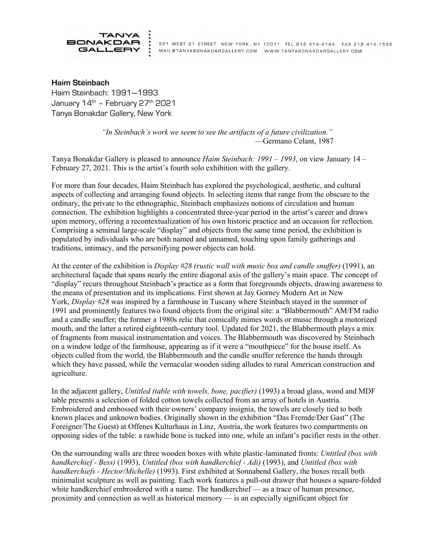

521 WEST 21 STREET NEW YORK, NY 10011 TEL 212 414-4144 FAX 212 414-1535 MAIL@TANYABONAKDARGALLERY.COM WWW.TANYABONAKDARGALLERY.COM

Haim Steinbach Haim Steinbach: 1991—1993 January  $14<sup>th</sup>$  – February 27<sup>th</sup> 2021 Tanya Bonakdar Gallery, New York

> *"In Steinbach's work we seem to see the artifacts of a future civilization."* —Germano Celant, 1987

Tanya Bonakdar Gallery is pleased to announce *Haim Steinbach: 1991 – 1993*, on view January 14 – February 27, 2021. This is the artist's fourth solo exhibition with the gallery.

For more than four decades, Haim Steinbach has explored the psychological, aesthetic, and cultural aspects of collecting and arranging found objects. In selecting items that range from the obscure to the ordinary, the private to the ethnographic, Steinbach emphasizes notions of circulation and human connection. The exhibition highlights a concentrated three-year period in the artist's career and draws upon memory, offering a recontextualization of his own historic practice and an occasion for reflection. Comprising a seminal large-scale "display" and objects from the same time period, the exhibition is populated by individuals who are both named and unnamed, touching upon family gatherings and traditions, intimacy, and the personifying power objects can hold.

At the center of the exhibition is *Display #28 (rustic wall with music box and candle snuffer)* (1991), an architectural façade that spans nearly the entire diagonal axis of the gallery's main space. The concept of "display" recurs throughout Steinbach's practice as a form that foregrounds objects, drawing awareness to the means of presentation and its implications. First shown at Jay Gorney Modern Art in New York, *Display #28* was inspired by a farmhouse in Tuscany where Steinbach stayed in the summer of 1991 and prominently features two found objects from the original site: a "Blabbermouth" AM/FM radio and a candle snuffer; the former a 1980s relic that comically mimes words or music through a motorized mouth, and the latter a retired eighteenth-century tool. Updated for 2021, the Blabbermouth plays a mix of fragments from musical instrumentation and voices. The Blabbermouth was discovered by Steinbach on a window ledge of the farmhouse, appearing as if it were a "mouthpiece" for the house itself. As objects culled from the world, the Blabbermouth and the candle snuffer reference the hands through which they have passed, while the vernacular wooden siding alludes to rural American construction and agriculture.

In the adjacent gallery, *Untitled (table with towels, bone, pacifier)* (1993) a broad glass, wood and MDF table presents a selection of folded cotton towels collected from an array of hotels in Austria. Embroidered and embossed with their owners' company insignia, the towels are closely tied to both known places and unknown bodies. Originally shown in the exhibition "Das Fremde/Der Gast" (The Foreigner/The Guest) at Offenes Kulturhaus in Linz, Austria, the work features two compartments on opposing sides of the table: a rawhide bone is tucked into one, while an infant's pacifier rests in the other.

On the surrounding walls are three wooden boxes with white plastic-laminated fronts: *Untitled (box with handkerchief - Bess)* (1993), *Untitled (box with handkerchief - Adi)* (1993), and *Untitled (box with handkerchiefs - Hector/Michelle)* (1993). First exhibited at Sonnabend Gallery, the boxes recall both minimalist sculpture as well as painting. Each work features a pull-out drawer that houses a square-folded white handkerchief embroidered with a name. The handkerchief — as a trace of human presence, proximity and connection as well as historical memory — is an especially significant object for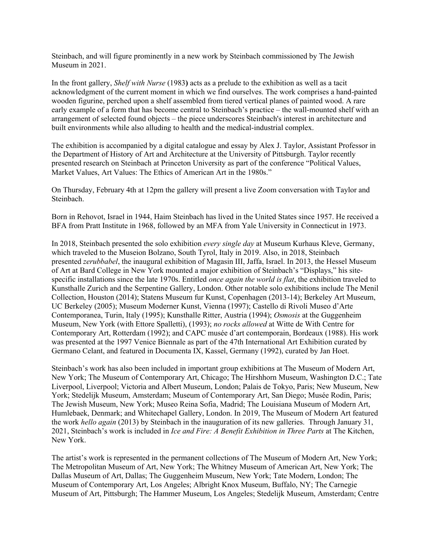Steinbach, and will figure prominently in a new work by Steinbach commissioned by The Jewish Museum in 2021.

In the front gallery, *Shelf with Nurse* (1983**)** acts as a prelude to the exhibition as well as a tacit acknowledgment of the current moment in which we find ourselves. The work comprises a hand-painted wooden figurine, perched upon a shelf assembled from tiered vertical planes of painted wood. A rare early example of a form that has become central to Steinbach's practice – the wall-mounted shelf with an arrangement of selected found objects – the piece underscores Steinbach's interest in architecture and built environments while also alluding to health and the medical-industrial complex.

The exhibition is accompanied by a digital catalogue and essay by Alex J. Taylor, Assistant Professor in the Department of History of Art and Architecture at the University of Pittsburgh. Taylor recently presented research on Steinbach at Princeton University as part of the conference "Political Values, Market Values, Art Values: The Ethics of American Art in the 1980s."

On Thursday, February 4th at 12pm the gallery will present a live Zoom conversation with Taylor and Steinbach.

Born in Rehovot, Israel in 1944, Haim Steinbach has lived in the United States since 1957. He received a BFA from Pratt Institute in 1968, followed by an MFA from Yale University in Connecticut in 1973.

In 2018, Steinbach presented the solo exhibition *every single day* at Museum Kurhaus Kleve, Germany, which traveled to the Museion Bolzano, South Tyrol, Italy in 2019. Also, in 2018, Steinbach presented *zerubbabel*, the inaugural exhibition of Magasin III, Jaffa, Israel. In 2013, the Hessel Museum of Art at Bard College in New York mounted a major exhibition of Steinbach's "Displays," his sitespecific installations since the late 1970s. Entitled *once again the world is flat*, the exhibition traveled to Kunsthalle Zurich and the Serpentine Gallery, London. Other notable solo exhibitions include The Menil Collection, Houston (2014); Statens Museum fur Kunst, Copenhagen (2013-14); Berkeley Art Museum, UC Berkeley (2005); Museum Moderner Kunst, Vienna (1997); Castello di Rivoli Museo d'Arte Contemporanea, Turin, Italy (1995); Kunsthalle Ritter, Austria (1994); *Osmosis* at the Guggenheim Museum, New York (with Ettore Spalletti), (1993); *no rocks allowed* at Witte de With Centre for Contemporary Art, Rotterdam (1992); and CAPC musée d'art contemporain, Bordeaux (1988). His work was presented at the 1997 Venice Biennale as part of the 47th International Art Exhibition curated by Germano Celant, and featured in Documenta IX, Kassel, Germany (1992), curated by Jan Hoet.

Steinbach's work has also been included in important group exhibitions at The Museum of Modern Art, New York; The Museum of Contemporary Art, Chicago; The Hirshhorn Museum, Washington D.C.; Tate Liverpool, Liverpool; Victoria and Albert Museum, London; Palais de Tokyo, Paris; New Museum, New York; Stedelijk Museum, Amsterdam; Museum of Contemporary Art, San Diego; Musée Rodin, Paris; The Jewish Museum, New York; Museo Reina Sofia, Madrid; The Louisiana Museum of Modern Art, Humlebaek, Denmark; and Whitechapel Gallery, London. In 2019, The Museum of Modern Art featured the work *hello again* (2013) by Steinbach in the inauguration of its new galleries. Through January 31, 2021, Steinbach's work is included in *Ice and Fire: A Benefit Exhibition in Three Parts* at The Kitchen, New York.

The artist's work is represented in the permanent collections of The Museum of Modern Art, New York; The Metropolitan Museum of Art, New York; The Whitney Museum of American Art, New York; The Dallas Museum of Art, Dallas; The Guggenheim Museum, New York; Tate Modern, London; The Museum of Contemporary Art, Los Angeles; Albright Knox Museum, Buffalo, NY; The Carnegie Museum of Art, Pittsburgh; The Hammer Museum, Los Angeles; Stedelijk Museum, Amsterdam; Centre